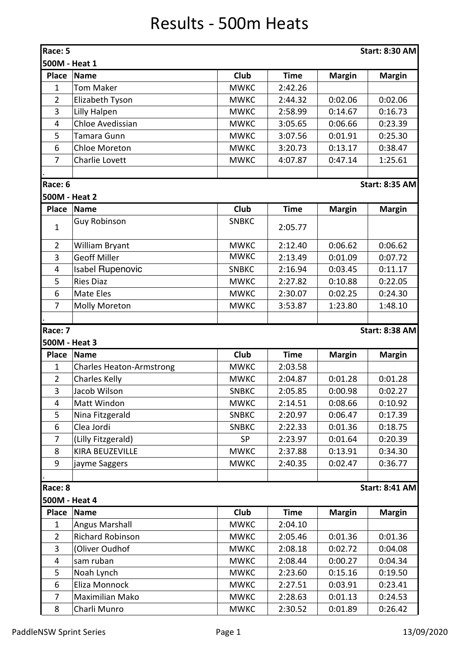## Results - 500m Heats

| Race: 5<br>500M - Heat 1 |                                 |              |             |               | <b>Start: 8:30 AM</b> |
|--------------------------|---------------------------------|--------------|-------------|---------------|-----------------------|
| <b>Place</b>             | <b>Name</b>                     | Club         | <b>Time</b> | <b>Margin</b> | <b>Margin</b>         |
| 1                        | <b>Tom Maker</b>                | <b>MWKC</b>  | 2:42.26     |               |                       |
| $\overline{2}$           | Elizabeth Tyson                 | <b>MWKC</b>  | 2:44.32     | 0:02.06       | 0:02.06               |
| 3                        | <b>Lilly Halpen</b>             | <b>MWKC</b>  | 2:58.99     | 0:14.67       | 0:16.73               |
| $\overline{4}$           | <b>Chloe Avedissian</b>         | <b>MWKC</b>  | 3:05.65     | 0:06.66       | 0:23.39               |
| 5                        | Tamara Gunn                     | <b>MWKC</b>  | 3:07.56     | 0:01.91       | 0:25.30               |
| 6                        | <b>Chloe Moreton</b>            | <b>MWKC</b>  | 3:20.73     | 0:13.17       | 0:38.47               |
| $\overline{7}$           | Charlie Lovett                  | <b>MWKC</b>  | 4:07.87     | 0:47.14       | 1:25.61               |
|                          |                                 |              |             |               |                       |
| Race: 6                  |                                 |              |             |               | <b>Start: 8:35 AM</b> |
| 500M - Heat 2            |                                 |              |             |               |                       |
| <b>Place</b>             | <b>Name</b>                     | <b>Club</b>  | <b>Time</b> | <b>Margin</b> | <b>Margin</b>         |
| $\mathbf{1}$             | <b>Guy Robinson</b>             | <b>SNBKC</b> | 2:05.77     |               |                       |
| $\overline{2}$           | William Bryant                  | <b>MWKC</b>  | 2:12.40     | 0:06.62       | 0:06.62               |
| 3                        | <b>Geoff Miller</b>             | <b>MWKC</b>  | 2:13.49     | 0:01.09       | 0:07.72               |
| 4                        | <b>Isabel Rupenovic</b>         | <b>SNBKC</b> | 2:16.94     | 0:03.45       | 0:11.17               |
| 5                        | <b>Ries Diaz</b>                | <b>MWKC</b>  | 2:27.82     | 0:10.88       | 0:22.05               |
| 6                        | Mate Eles                       | <b>MWKC</b>  | 2:30.07     | 0:02.25       | 0:24.30               |
| 7                        | Molly Moreton                   | <b>MWKC</b>  | 3:53.87     | 1:23.80       | 1:48.10               |
| Race: 7                  |                                 |              |             |               | <b>Start: 8:38 AM</b> |
| 500M - Heat 3            |                                 |              |             |               |                       |
| <b>Place</b>             | <b>Name</b>                     | Club         | <b>Time</b> | <b>Margin</b> | <b>Margin</b>         |
| 1                        | <b>Charles Heaton-Armstrong</b> | <b>MWKC</b>  | 2:03.58     |               |                       |
| $\overline{2}$           | <b>Charles Kelly</b>            | <b>MWKC</b>  | 2:04.87     | 0:01.28       | 0:01.28               |
| 3                        | Jacob Wilson                    | <b>SNBKC</b> | 2:05.85     | 0:00.98       | 0:02.27               |
| 4                        | Matt Windon                     | <b>MWKC</b>  | 2:14.51     | 0:08.66       | 0:10.92               |
| 5                        | Nina Fitzgerald                 | <b>SNBKC</b> | 2:20.97     | 0:06.47       | 0:17.39               |
| 6                        | Clea Jordi                      | <b>SNBKC</b> | 2:22.33     | 0:01.36       | 0:18.75               |
| 7                        | (Lilly Fitzgerald)              | <b>SP</b>    | 2:23.97     | 0:01.64       | 0:20.39               |
| 8                        | <b>KIRA BEUZEVILLE</b>          | <b>MWKC</b>  | 2:37.88     | 0:13.91       | 0:34.30               |
| 9                        | jayme Saggers                   | <b>MWKC</b>  | 2:40.35     | 0:02.47       | 0:36.77               |
| Race: 8                  |                                 |              |             |               | <b>Start: 8:41 AM</b> |
| 500M - Heat 4            |                                 |              |             |               |                       |
| <b>Place</b>             | <b>Name</b>                     | <b>Club</b>  | <b>Time</b> | <b>Margin</b> | <b>Margin</b>         |
| $\mathbf{1}$             | <b>Angus Marshall</b>           | <b>MWKC</b>  | 2:04.10     |               |                       |
| $\overline{2}$           | <b>Richard Robinson</b>         | <b>MWKC</b>  | 2:05.46     | 0:01.36       | 0:01.36               |
| 3                        | (Oliver Oudhof                  | <b>MWKC</b>  | 2:08.18     | 0:02.72       | 0:04.08               |
| $\overline{4}$           | sam ruban                       | <b>MWKC</b>  | 2:08.44     | 0:00.27       | 0:04.34               |
| 5                        | Noah Lynch                      | <b>MWKC</b>  | 2:23.60     | 0:15.16       | 0:19.50               |
| 6                        | Eliza Monnock                   | <b>MWKC</b>  | 2:27.51     | 0:03.91       | 0:23.41               |
| 7                        | Maximilian Mako                 | <b>MWKC</b>  | 2:28.63     | 0:01.13       | 0:24.53               |
| 8                        | Charli Munro                    | <b>MWKC</b>  | 2:30.52     | 0:01.89       | 0:26.42               |